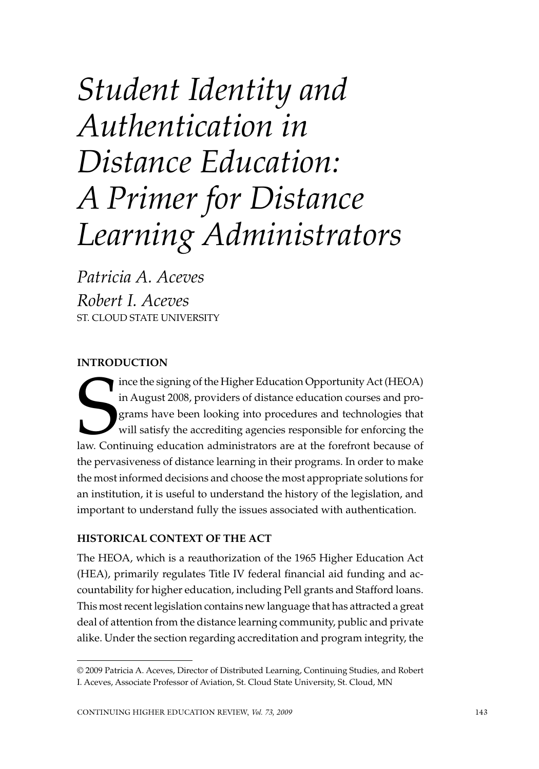# *Student Identity and Authentication in Distance Education: A Primer for Distance Learning Administrators*

*Patricia A. Aceves Robert I. Aceves* St. Cloud State University

## **Introduction**

Ince the signing of the Higher Education Opportunity Act (HEOA)<br>in August 2008, providers of distance education courses and pro-<br>grams have been looking into procedures and technologies that<br>will satisfy the accrediting ag ince the signing of the Higher Education Opportunity Act (HEOA) in August 2008, providers of distance education courses and programs have been looking into procedures and technologies that will satisfy the accrediting agencies responsible for enforcing the the pervasiveness of distance learning in their programs. In order to make the most informed decisions and choose the most appropriate solutions for an institution, it is useful to understand the history of the legislation, and important to understand fully the issues associated with authentication.

## **Historical Context of the Act**

The HEOA, which is a reauthorization of the 1965 Higher Education Act (HEA), primarily regulates Title IV federal financial aid funding and accountability for higher education, including Pell grants and Stafford loans. This most recent legislation contains new language that has attracted a great deal of attention from the distance learning community, public and private alike. Under the section regarding accreditation and program integrity, the

<sup>© 2009</sup> Patricia A. Aceves, Director of Distributed Learning, Continuing Studies, and Robert I. Aceves, Associate Professor of Aviation, St. Cloud State University, St. Cloud, MN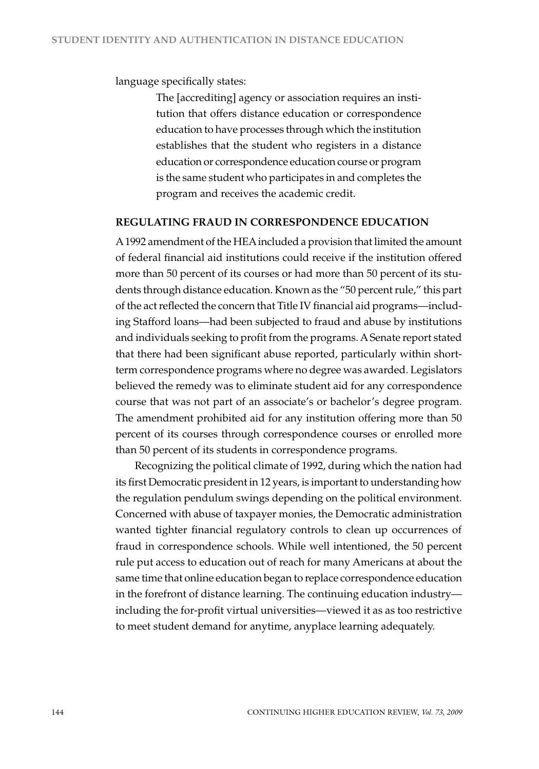language specifically states:

The [accrediting] agency or association requires an institution that offers distance education or correspondence education to have processes through which the institution establishes that the student who registers in a distance education or correspondence education course or program is the same student who participates in and completes the program and receives the academic credit.

#### **REgulAting fRAud in CoRREspondEnCE EduCAtion**

A 1992 amendment of the HEA included a provision that limited the amount of federal financial aid institutions could receive if the institution offered more than 50 percent of its courses or had more than 50 percent of its students through distance education. Known as the "50 percent rule," this part of the act reflected the concern that Title IV financial aid programs—including Stafford loans—had been subjected to fraud and abuse by institutions and individuals seeking to profit from the programs. A Senate report stated that there had been significant abuse reported, particularly within shortterm correspondence programs where no degree was awarded. Legislators believed the remedy was to eliminate student aid for any correspondence course that was not part of an associate's or bachelor's degree program. The amendment prohibited aid for any institution offering more than 50 percent of its courses through correspondence courses or enrolled more than 50 percent of its students in correspondence programs.

Recognizing the political climate of 1992, during which the nation had its first Democratic president in 12 years, is important to understanding how the regulation pendulum swings depending on the political environment. Concerned with abuse of taxpayer monies, the Democratic administration wanted tighter financial regulatory controls to clean up occurrences of fraud in correspondence schools. While well intentioned, the 50 percent rule put access to education out of reach for many Americans at about the same time that online education began to replace correspondence education in the forefront of distance learning. The continuing education industry including the for-profit virtual universities—viewed it as as too restrictive to meet student demand for anytime, anyplace learning adequately.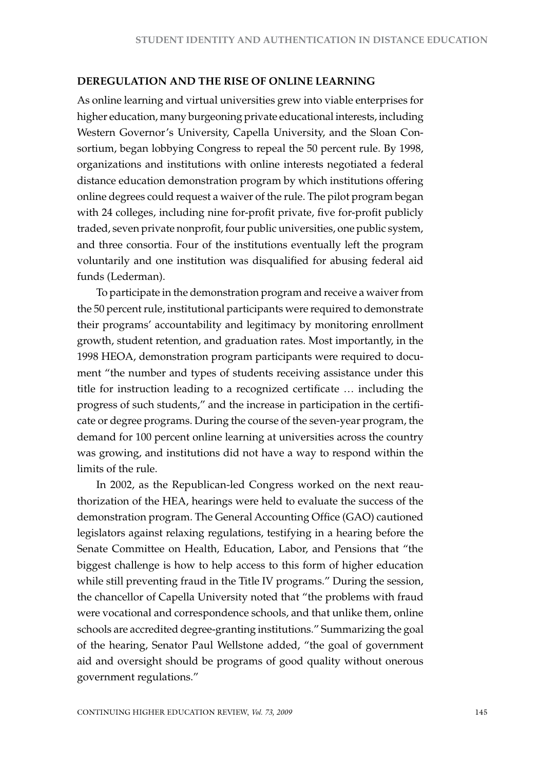#### **dEREgulAtion And tHE RisE of onlinE lEARning**

As online learning and virtual universities grew into viable enterprises for higher education, many burgeoning private educational interests, including Western Governor's University, Capella University, and the Sloan Consortium, began lobbying Congress to repeal the 50 percent rule. By 1998, organizations and institutions with online interests negotiated a federal distance education demonstration program by which institutions offering online degrees could request a waiver of the rule. The pilot program began with 24 colleges, including nine for-profit private, five for-profit publicly traded, seven private nonprofit, four public universities, one public system, and three consortia. Four of the institutions eventually left the program voluntarily and one institution was disqualified for abusing federal aid funds (Lederman).

To participate in the demonstration program and receive a waiver from the 50 percent rule, institutional participants were required to demonstrate their programs' accountability and legitimacy by monitoring enrollment growth, student retention, and graduation rates. Most importantly, in the 1998 HEOA, demonstration program participants were required to document "the number and types of students receiving assistance under this title for instruction leading to a recognized certificate … including the progress of such students," and the increase in participation in the certificate or degree programs. During the course of the seven-year program, the demand for 100 percent online learning at universities across the country was growing, and institutions did not have a way to respond within the limits of the rule.

In 2002, as the Republican-led Congress worked on the next reauthorization of the HEA, hearings were held to evaluate the success of the demonstration program. The General Accounting Office (GAO) cautioned legislators against relaxing regulations, testifying in a hearing before the Senate Committee on Health, Education, Labor, and Pensions that "the biggest challenge is how to help access to this form of higher education while still preventing fraud in the Title IV programs." During the session, the chancellor of Capella University noted that "the problems with fraud were vocational and correspondence schools, and that unlike them, online schools are accredited degree-granting institutions." Summarizing the goal of the hearing, Senator Paul Wellstone added, "the goal of government aid and oversight should be programs of good quality without onerous government regulations."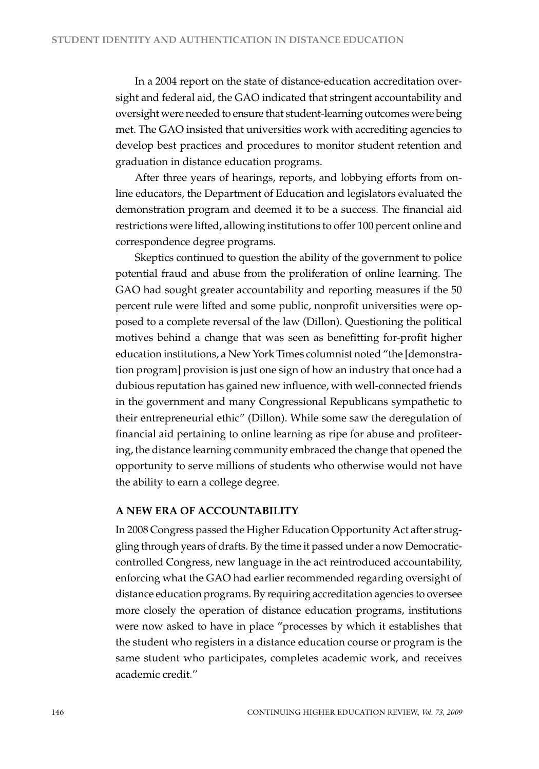In a 2004 report on the state of distance-education accreditation oversight and federal aid, the GAO indicated that stringent accountability and oversight were needed to ensure that student-learning outcomes were being met. The GAO insisted that universities work with accrediting agencies to develop best practices and procedures to monitor student retention and graduation in distance education programs.

After three years of hearings, reports, and lobbying efforts from online educators, the Department of Education and legislators evaluated the demonstration program and deemed it to be a success. The financial aid restrictions were lifted, allowing institutions to offer 100 percent online and correspondence degree programs.

Skeptics continued to question the ability of the government to police potential fraud and abuse from the proliferation of online learning. The GAO had sought greater accountability and reporting measures if the 50 percent rule were lifted and some public, nonprofit universities were opposed to a complete reversal of the law (Dillon). Questioning the political motives behind a change that was seen as benefitting for-profit higher education institutions, a New York Times columnist noted "the [demonstration program] provision is just one sign of how an industry that once had a dubious reputation has gained new influence, with well-connected friends in the government and many Congressional Republicans sympathetic to their entrepreneurial ethic" (Dillon). While some saw the deregulation of financial aid pertaining to online learning as ripe for abuse and profiteering, the distance learning community embraced the change that opened the opportunity to serve millions of students who otherwise would not have the ability to earn a college degree.

#### **A nEw ERA of ACCountAbility**

In 2008 Congress passed the Higher Education Opportunity Act after struggling through years of drafts. By the time it passed under a now Democraticcontrolled Congress, new language in the act reintroduced accountability, enforcing what the GAO had earlier recommended regarding oversight of distance education programs. By requiring accreditation agencies to oversee more closely the operation of distance education programs, institutions were now asked to have in place "processes by which it establishes that the student who registers in a distance education course or program is the same student who participates, completes academic work, and receives academic credit.''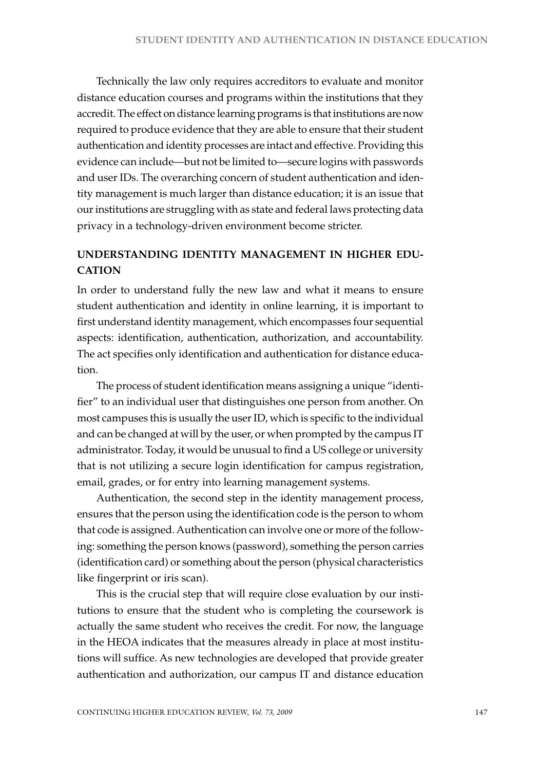Technically the law only requires accreditors to evaluate and monitor distance education courses and programs within the institutions that they accredit. The effect on distance learning programs is that institutions are now required to produce evidence that they are able to ensure that their student authentication and identity processes are intact and effective. Providing this evidence can include—but not be limited to—secure logins with passwords and user IDs. The overarching concern of student authentication and identity management is much larger than distance education; it is an issue that our institutions are struggling with as state and federal laws protecting data privacy in a technology-driven environment become stricter.

# **undERstAnding idEntity mAnAgEmEnt in HigHER Edu-CATION**

In order to understand fully the new law and what it means to ensure student authentication and identity in online learning, it is important to first understand identity management, which encompasses four sequential aspects: identification, authentication, authorization, and accountability. The act specifies only identification and authentication for distance education.

The process of student identification means assigning a unique "identifier" to an individual user that distinguishes one person from another. On most campuses this is usually the user ID, which is specific to the individual and can be changed at will by the user, or when prompted by the campus IT administrator. Today, it would be unusual to find a US college or university that is not utilizing a secure login identification for campus registration, email, grades, or for entry into learning management systems.

Authentication, the second step in the identity management process, ensures that the person using the identification code is the person to whom that code is assigned. Authentication can involve one or more of the following: something the person knows (password), something the person carries (identification card) or something about the person (physical characteristics like fingerprint or iris scan).

This is the crucial step that will require close evaluation by our institutions to ensure that the student who is completing the coursework is actually the same student who receives the credit. For now, the language in the HEOA indicates that the measures already in place at most institutions will suffice. As new technologies are developed that provide greater authentication and authorization, our campus IT and distance education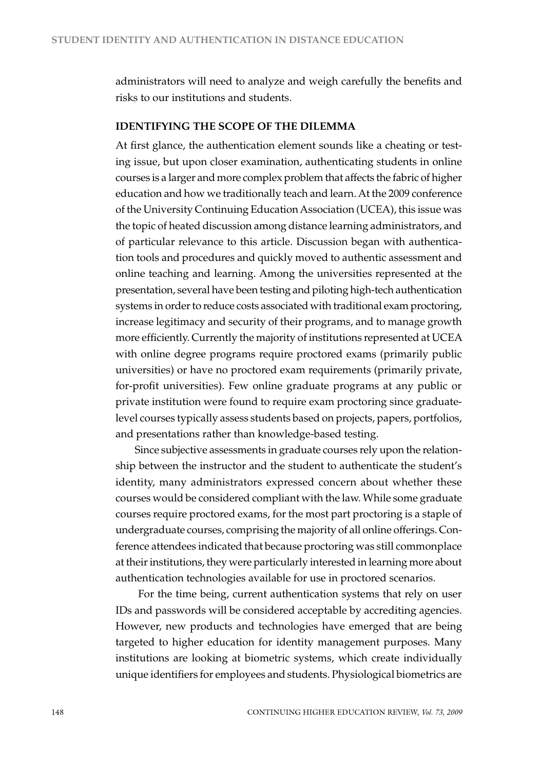administrators will need to analyze and weigh carefully the benefits and risks to our institutions and students.

#### **idEntifying tHE sCopE of tHE dilEmmA**

At first glance, the authentication element sounds like a cheating or testing issue, but upon closer examination, authenticating students in online courses is a larger and more complex problem that affects the fabric of higher education and how we traditionally teach and learn. At the 2009 conference of the University Continuing Education Association (UCEA), this issue was the topic of heated discussion among distance learning administrators, and of particular relevance to this article. Discussion began with authentication tools and procedures and quickly moved to authentic assessment and online teaching and learning. Among the universities represented at the presentation, several have been testing and piloting high-tech authentication systems in order to reduce costs associated with traditional exam proctoring, increase legitimacy and security of their programs, and to manage growth more efficiently. Currently the majority of institutions represented at UCEA with online degree programs require proctored exams (primarily public universities) or have no proctored exam requirements (primarily private, for-profit universities). Few online graduate programs at any public or private institution were found to require exam proctoring since graduatelevel courses typically assess students based on projects, papers, portfolios, and presentations rather than knowledge-based testing.

Since subjective assessments in graduate courses rely upon the relationship between the instructor and the student to authenticate the student's identity, many administrators expressed concern about whether these courses would be considered compliant with the law. While some graduate courses require proctored exams, for the most part proctoring is a staple of undergraduate courses, comprising the majority of all online offerings. Conference attendees indicated that because proctoring was still commonplace at their institutions, they were particularly interested in learning more about authentication technologies available for use in proctored scenarios.

 For the time being, current authentication systems that rely on user IDs and passwords will be considered acceptable by accrediting agencies. However, new products and technologies have emerged that are being targeted to higher education for identity management purposes. Many institutions are looking at biometric systems, which create individually unique identifiers for employees and students. Physiological biometrics are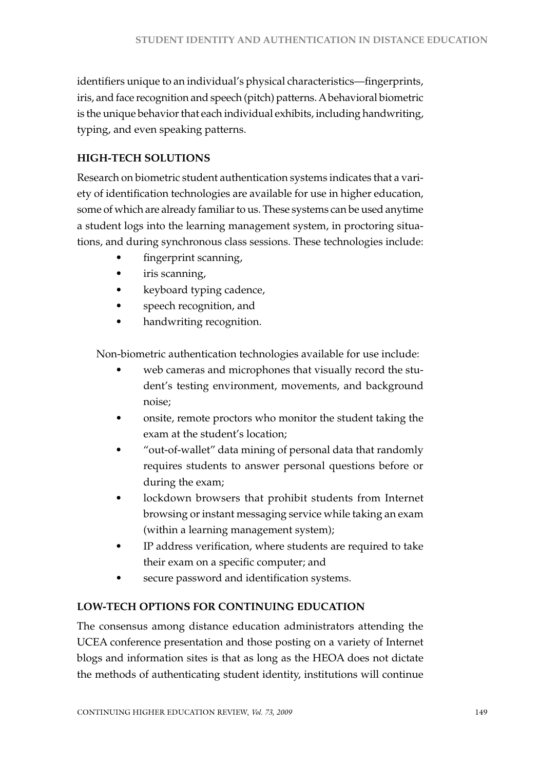identifiers unique to an individual's physical characteristics—fingerprints, iris, and face recognition and speech (pitch) patterns. A behavioral biometric is the unique behavior that each individual exhibits, including handwriting, typing, and even speaking patterns.

# **HigH-tECH solutions**

Research on biometric student authentication systems indicates that a variety of identification technologies are available for use in higher education, some of which are already familiar to us. These systems can be used anytime a student logs into the learning management system, in proctoring situations, and during synchronous class sessions. These technologies include:

- fingerprint scanning,
- iris scanning,
- keyboard typing cadence,
- speech recognition, and
- handwriting recognition.

Non-biometric authentication technologies available for use include:

- web cameras and microphones that visually record the student's testing environment, movements, and background noise;
- onsite, remote proctors who monitor the student taking the exam at the student's location;
- "out-of-wallet" data mining of personal data that randomly requires students to answer personal questions before or during the exam;
- lockdown browsers that prohibit students from Internet browsing or instant messaging service while taking an exam (within a learning management system);
- IP address verification, where students are required to take their exam on a specific computer; and
- secure password and identification systems.

# **low-tECH options foR Continuing EduCAtion**

The consensus among distance education administrators attending the UCEA conference presentation and those posting on a variety of Internet blogs and information sites is that as long as the HEOA does not dictate the methods of authenticating student identity, institutions will continue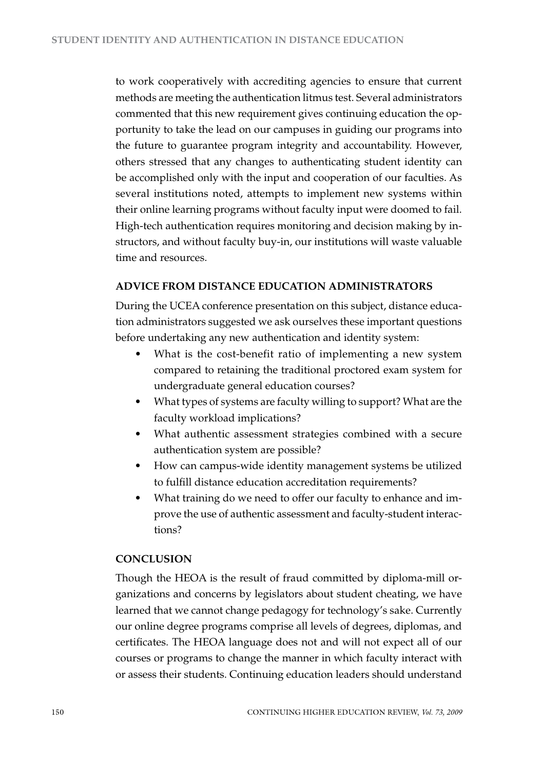to work cooperatively with accrediting agencies to ensure that current methods are meeting the authentication litmus test. Several administrators commented that this new requirement gives continuing education the opportunity to take the lead on our campuses in guiding our programs into the future to guarantee program integrity and accountability. However, others stressed that any changes to authenticating student identity can be accomplished only with the input and cooperation of our faculties. As several institutions noted, attempts to implement new systems within their online learning programs without faculty input were doomed to fail. High-tech authentication requires monitoring and decision making by instructors, and without faculty buy-in, our institutions will waste valuable time and resources.

## **AdviCE fRom distAnCE EduCAtion AdministRAtoRs**

During the UCEA conference presentation on this subject, distance education administrators suggested we ask ourselves these important questions before undertaking any new authentication and identity system:

- What is the cost-benefit ratio of implementing a new system compared to retaining the traditional proctored exam system for undergraduate general education courses?
- What types of systems are faculty willing to support? What are the faculty workload implications?
- What authentic assessment strategies combined with a secure authentication system are possible?
- How can campus-wide identity management systems be utilized to fulfill distance education accreditation requirements?
- What training do we need to offer our faculty to enhance and improve the use of authentic assessment and faculty-student interactions?

## **ConClusion**

Though the HEOA is the result of fraud committed by diploma-mill organizations and concerns by legislators about student cheating, we have learned that we cannot change pedagogy for technology's sake. Currently our online degree programs comprise all levels of degrees, diplomas, and certificates. The HEOA language does not and will not expect all of our courses or programs to change the manner in which faculty interact with or assess their students. Continuing education leaders should understand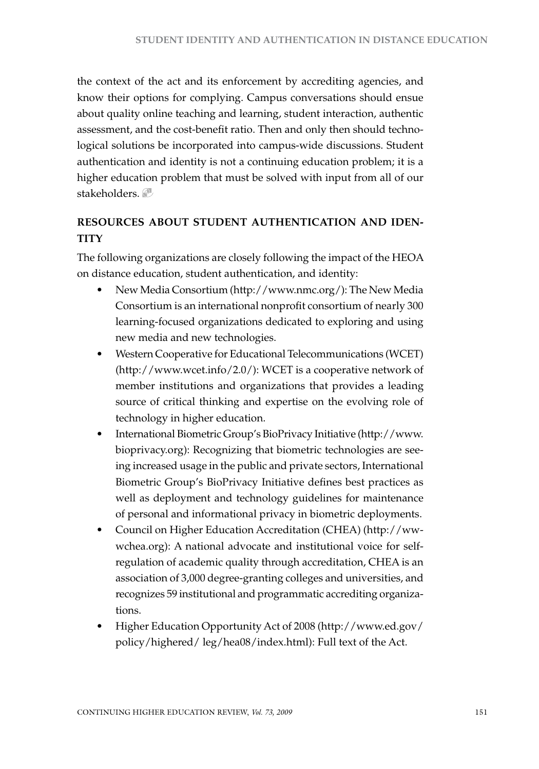the context of the act and its enforcement by accrediting agencies, and know their options for complying. Campus conversations should ensue about quality online teaching and learning, student interaction, authentic assessment, and the cost-benefit ratio. Then and only then should technological solutions be incorporated into campus-wide discussions. Student authentication and identity is not a continuing education problem; it is a higher education problem that must be solved with input from all of our stakeholders.

# **REsouRCEs About studEnt AutHEntiCAtion And idEntilla**

The following organizations are closely following the impact of the HEOA on distance education, student authentication, and identity:

- New Media Consortium (http://www.nmc.org/): The New Media Consortium is an international nonprofit consortium of nearly 300 learning-focused organizations dedicated to exploring and using new media and new technologies.
- Western Cooperative for Educational Telecommunications (WCET) (http://www.wcet.info/2.0/): WCET is a cooperative network of member institutions and organizations that provides a leading source of critical thinking and expertise on the evolving role of technology in higher education.
- • International Biometric Group's BioPrivacy Initiative (http://www. bioprivacy.org): Recognizing that biometric technologies are seeing increased usage in the public and private sectors, International Biometric Group's BioPrivacy Initiative defines best practices as well as deployment and technology guidelines for maintenance of personal and informational privacy in biometric deployments.
- Council on Higher Education Accreditation (CHEA) (http://wwwchea.org): A national advocate and institutional voice for selfregulation of academic quality through accreditation, CHEA is an association of 3,000 degree-granting colleges and universities, and recognizes 59 institutional and programmatic accrediting organizations.
- Higher Education Opportunity Act of 2008 (http://www.ed.gov/ policy/highered/ leg/hea08/index.html): Full text of the Act.